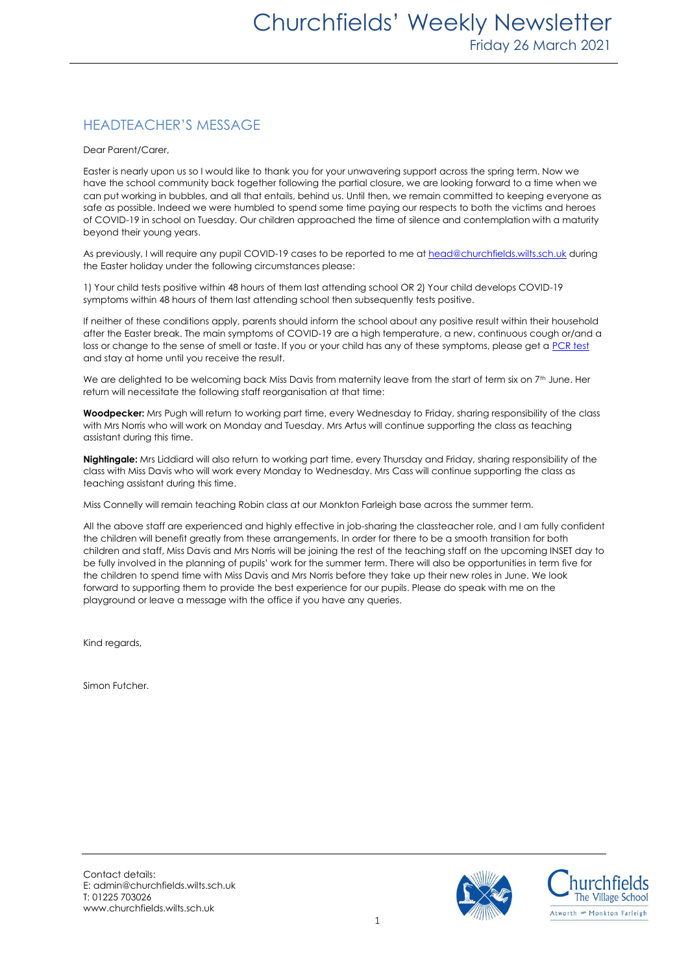### HEADTEACHER'S MESSAGE

Dear Parent/Carer,

Easter is nearly upon us so I would like to thank you for your unwavering support across the spring term. Now we have the school community back together following the partial closure, we are looking forward to a time when we can put working in bubbles, and all that entails, behind us. Until then, we remain committed to keeping everyone as safe as possible. Indeed we were humbled to spend some time paying our respects to both the victims and heroes of COVID-19 in school on Tuesday. Our children approached the time of silence and contemplation with a maturity beyond their young years.

As previously, I will require any pupil COVID-19 cases to be reported to me a[t head@churchfields.wilts.sch.uk](mailto:head@churchfields.wilts.sch.uk) during the Easter holiday under the following circumstances please:

1) Your child tests positive within 48 hours of them last attending school OR 2) Your child develops COVID-19 symptoms within 48 hours of them last attending school then subsequently tests positive.

If neither of these conditions apply, parents should inform the school about any positive result within their household after the Easter break. The main symptoms of COVID-19 are a high temperature, a new, continuous cough or/and a loss or change to the sense of smell or taste. If you or your child has any of these symptoms, please get [a PCR test](https://www.gov.uk/get-coronavirus-test) and stay at home until you receive the result.

We are delighted to be welcoming back Miss Davis from maternity leave from the start of term six on 7<sup>th</sup> June. Her return will necessitate the following staff reorganisation at that time:

**Woodpecker:** Mrs Pugh will return to working part time, every Wednesday to Friday, sharing responsibility of the class with Mrs Norris who will work on Monday and Tuesday. Mrs Artus will continue supporting the class as teaching assistant during this time.

**Nightingale:** Mrs Liddiard will also return to working part time, every Thursday and Friday, sharing responsibility of the class with Miss Davis who will work every Monday to Wednesday. Mrs Cass will continue supporting the class as teaching assistant during this time.

Miss Connelly will remain teaching Robin class at our Monkton Farleigh base across the summer term.

All the above staff are experienced and highly effective in job-sharing the classteacher role, and I am fully confident the children will benefit greatly from these arrangements. In order for there to be a smooth transition for both children and staff, Miss Davis and Mrs Norris will be joining the rest of the teaching staff on the upcoming INSET day to be fully involved in the planning of pupils' work for the summer term. There will also be opportunities in term five for the children to spend time with Miss Davis and Mrs Norris before they take up their new roles in June. We look forward to supporting them to provide the best experience for our pupils. Please do speak with me on the playground or leave a message with the office if you have any queries.

Kind regards,

Simon Futcher.

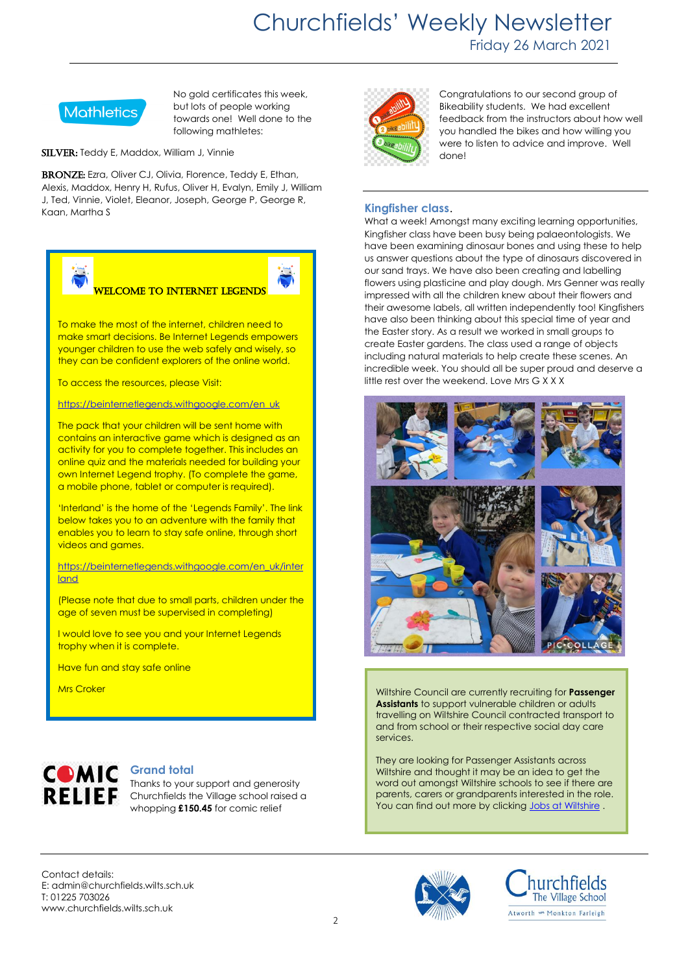## Churchfields' Weekly Newsletter Friday 26 March 2021



No gold certificates this week, but lots of people working towards one! Well done to the following mathletes:

SILVER: Teddy E, Maddox, William J, Vinnie

BRONZE: Ezra, Oliver CJ, Olivia, Florence, Teddy E, Ethan, Alexis, Maddox, Henry H, Rufus, Oliver H, Evalyn, Emily J, William J, Ted, Vinnie, Violet, Eleanor, Joseph, George P, George R, Kaan, Martha S



RELIEF Churchfields the Village school raised a whopping **£150.45** for comic relief



Congratulations to our second group of Bikeability students. We had excellent feedback from the instructors about how well you handled the bikes and how willing you were to listen to advice and improve. Well done!

### **Kingfisher class**.

What a week! Amongst many exciting learning opportunities, Kingfisher class have been busy being palaeontologists. We have been examining dinosaur bones and using these to help us answer questions about the type of dinosaurs discovered in our sand trays. We have also been creating and labelling flowers using plasticine and play dough. Mrs Genner was really impressed with all the children knew about their flowers and their awesome labels, all written independently too! Kingfishers have also been thinking about this special time of year and the Easter story. As a result we worked in small groups to create Easter gardens. The class used a range of objects including natural materials to help create these scenes. An incredible week. You should all be super proud and deserve a little rest over the weekend. Love Mrs G X X X



**Assistants** to support vulnerable children or adults travelling on Wiltshire Council contracted transport to and from school or their respective social day care services.

They are looking for Passenger Assistants across Wiltshire and thought it may be an idea to get the word out amongst Wiltshire schools to see if there are parents, carers or grandparents interested in the role. You can find out more by clickin[g Jobs at Wiltshire](https://jobs.wiltshire.gov.uk/details#/reference/CNS00770).

Contact details: E: admin@churchfields.wilts.sch.uk T: 01225 703026 www.churchfields.wilts.sch.uk



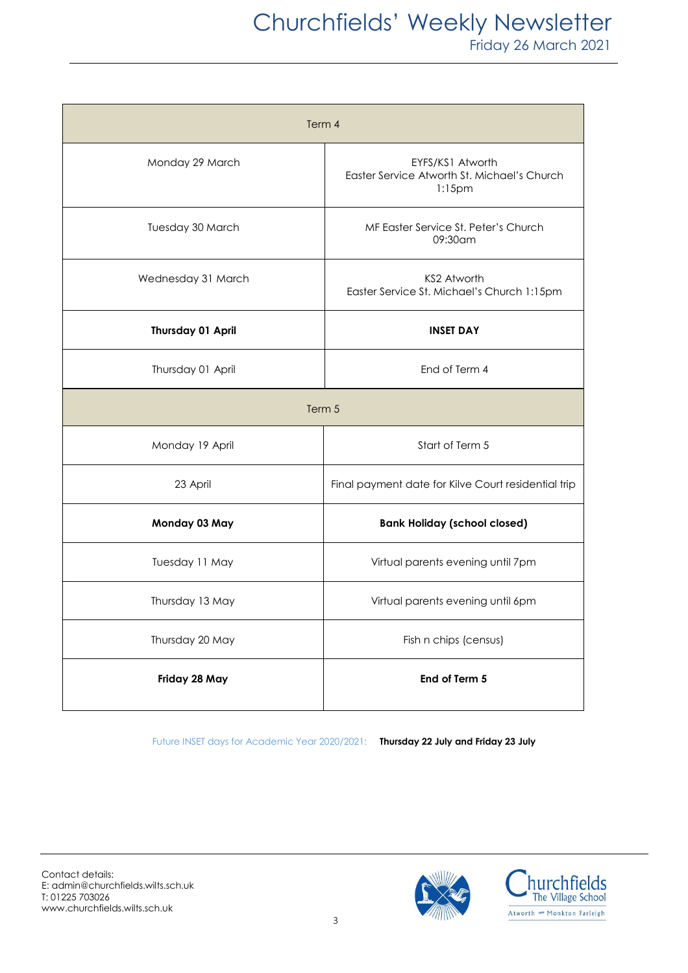| Term 4                   |                                                                              |
|--------------------------|------------------------------------------------------------------------------|
| Monday 29 March          | EYFS/KS1 Atworth<br>Easter Service Atworth St. Michael's Church<br>$1:15$ pm |
| Tuesday 30 March         | MF Easter Service St. Peter's Church<br>09:30am                              |
| Wednesday 31 March       | KS2 Atworth<br>Easter Service St. Michael's Church 1:15pm                    |
| <b>Thursday 01 April</b> | <b>INSET DAY</b>                                                             |
| Thursday 01 April        | End of Term 4                                                                |
| Term 5                   |                                                                              |
| Monday 19 April          | Start of Term 5                                                              |
| 23 April                 | Final payment date for Kilve Court residential trip                          |
| Monday 03 May            | <b>Bank Holiday (school closed)</b>                                          |
| Tuesday 11 May           | Virtual parents evening until 7pm                                            |
| Thursday 13 May          | Virtual parents evening until 6pm                                            |
| Thursday 20 May          | Fish n chips (census)                                                        |
| Friday 28 May            | End of Term 5                                                                |

Future INSET days for Academic Year 2020/2021: **Thursday 22 July and Friday 23 July**